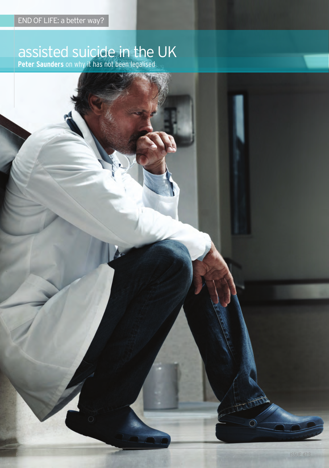# assisted suicide in the UK

**Peter Saunders** on why it has not been legalised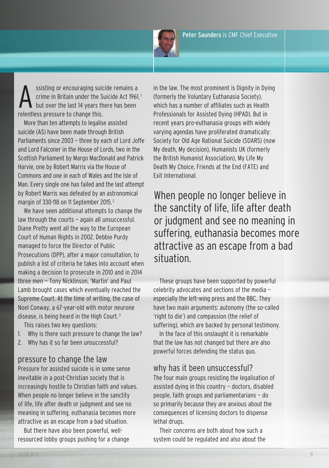Peter Saunders is CMF Chief Executive



ssisting or encouraging suicide remains a crime in Britain under the Suicide Act 1961, <sup>1</sup> but over the last 14 years there has been relentless pressure to change this.

More than ten attempts to legalise assisted suicide (AS) have been made through British parliaments since 2003 — three by each of lord Joffe and lord falconer in the House of lords, two in the Scottish Parliament by Margo MacDonald and Patrick Harvie, one by Robert Marris via the House of commons and one in each of Wales and the Isle of Man. Every single one has failed and the last attempt by Robert Marris was defeated by an astronomical margin of 330-118 on 11 September 2015. <sup>2</sup>

We have seen additional attempts to change the law through the courts — again all unsuccessful. Diane Pretty went all the way to the European Court of Human Rights in 2002. Debbie Purdy managed to force the Director of Public prosecutions (dpp), after a major consultation, to publish a list of criteria he takes into account when making a decision to prosecute in 2010 and in 2014 three men - Tony Nicklinson, 'Martin' and Paul lamb brought cases which eventually reached the Supreme court. At the time of writing, the case of noel conway, a 67-year-old with motor neurone disease, is being heard in the High court. <sup>3</sup>

This raises two key questions:

- 1. Why is there such pressure to change the law?
- 2. Why has it so far been unsuccessful?

## p ressure to change the law

pressure for assisted suicide is in some sense inevitable in a post-christian society that is increasingly hostile to christian faith and values. When people no longer believe in the sanctity of life, life after death or judgment and see no meaning in suffering, euthanasia becomes more attractive as an escape from a bad situation.

But there have also been powerful, wellresourced lobby groups pushing for a change in the law. The most prominent is Dignity in Dying (formerly the Voluntary Euthanasia Society), which has a number of affiliates such as Health Professionals for Assisted Dving (HPAD). But in recent years pro-euthanasia groups with widely varying agendas have proliferated dramatically: Society for Old Age Rational Suicide (SOARS) (now My death, My decision), Humanists UK (formerly the British Humanist Association), My life My Death My Choice, Friends at the End (FATE) and Exit International.

When people no longer believe in the sanctity of life, life after death or judgment and see no meaning in suffering, euthanasia becomes more attractive as an escape from a bad situation.

These groups have been supported by powerful celebrity advocates and sections of the media especially the left-wing press and the BBC. They have two main arguments: autonomy (the so-called 'right to die') and compassion (the relief of suffering), which are backed by personal testimony.

In the face of this onslaught it is remarkable that the law has not changed but there are also powerful forces defending the status quo.

## why has it been unsuccessful?

The four main groups resisting the legalisation of assisted dying in this country — doctors, disabled people, faith groups and parliamentarians — do so primarily because they are anxious about the consequences of licensing doctors to dispense lethal drugs.

Their concerns are both about how such a system could be regulated and also about the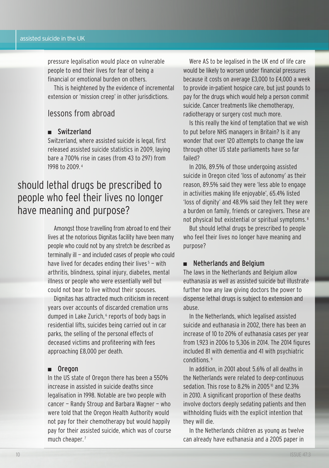pressure legalisation would place on vulnerable people to end their lives for fear of being a financial or emotional burden on others.

This is heightened by the evidence of incremental extension or 'mission creep' in other jurisdictions.

# lessons from abroad

### ■ Switzerland

Switzerland, where assisted suicide is legal, first released assisted suicide statistics in 2009, laying bare a 700% rise in cases (from 43 to 297) from 1998 to 2009. <sup>4</sup>

# should lethal drugs be prescribed to people who feel their lives no longer have meaning and purpose?

Amongst those travelling from abroad to end their lives at the notorious Dignitas facility have been many people who could not by any stretch be described as terminally ill — and included cases of people who could have lived for decades ending their lives  $5 -$  with arthritis, blindness, spinal injury, diabetes, mental illness or people who were essentially well but could not bear to live without their spouses.

Dignitas has attracted much criticism in recent years over accounts of discarded cremation urns dumped in Lake Zurich,<sup>6</sup> reports of body bags in residential lifts, suicides being carried out in car parks, the selling of the personal effects of deceased victims and profiteering with fees approaching £8,000 per death.

### ■ Oregon

In the US state of Oregon there has been a 550% increase in assisted in suicide deaths since legalisation in 1998. notable are two people with  $cancer - Randy$  Stroup and Barbara Wagner – who were told that the Oregon Health Authority would not pay for their chemotherapy but would happily pay for their assisted suicide, which was of course much cheaper.<sup>7</sup>

Were AS to be legalised in the UK end of life care would be likely to worsen under financial pressures because it costs on average £3,000 to £4,000 a week to provide in-patient hospice care, but just pounds to pay for the drugs which would help a person commit suicide. cancer treatments like chemotherapy, radiotherapy or surgery cost much more.

Is this really the kind of temptation that we wish to put before nHS managers in Britain? Is it any wonder that over 120 attempts to change the law through other US state parliaments have so far failed?

In 2016, 89.5% of those undergoing assisted suicide in Oregon cited 'loss of autonomy' as their reason, 89.5% said they were 'less able to engage in activities making life enjoyable', 65.4% listed 'loss of dignity' and 48.9% said they felt they were a burden on family, friends or caregivers. these are not physical but existential or spiritual symptoms. <sup>8</sup>

But should lethal drugs be prescribed to people who feel their lives no longer have meaning and purpose?

### ■ Netherlands and Belgium

The laws in the Netherlands and Belgium allow euthanasia as well as assisted suicide but illustrate further how any law giving doctors the power to dispense lethal drugs is subject to extension and abuse.

In the netherlands, which legalised assisted suicide and euthanasia in 2002, there has been an increase of 10 to 20% of euthanasia cases per year from 1,923 in 2006 to 5,306 in 2014. The 2014 figures included 81 with dementia and 41 with psychiatric conditions. <sup>9</sup>

In addition, in 2001 about 5.6% of all deaths in the netherlands were related to deep-continuous sedation. This rose to 8.2% in 2005<sup>10</sup> and 12.3% in 2010. A significant proportion of these deaths involve doctors deeply sedating patients and then withholding fluids with the explicit intention that they will die.

In the Netherlands children as young as twelve can already have euthanasia and a 2005 paper in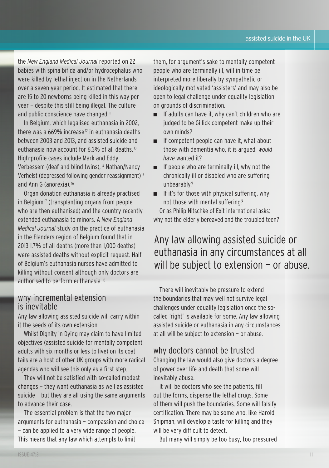the *New England Medical Journal* reported on 22 babies with spina bifida and/or hydrocephalus who were killed by lethal injection in the Netherlands over a seven year period. It estimated that there are 15 to 20 newborns being killed in this way per year - despite this still being illegal. The culture and public conscience have changed.<sup>11</sup>

In Belgium, which legalised euthanasia in 2002, there was a 669% increase<sup>12</sup> in euthanasia deaths between 2003 and 2013, and assisted suicide and euthanasia now account for 6.3% of all deaths. <sup>13</sup> High-profile cases include Mark and Eddy Verbessem (deaf and blind twins), <sup>14</sup> Nathan/Nancy Verhelst (depressed following gender reassignment)<sup>15</sup> and Ann G (anorexia).<sup>16</sup>

Organ donation euthanasia is already practised in Belgium<sup> $\pi$ </sup> (transplanting organs from people who are then euthanised) and the country recently extended euthanasia to minors. A *New England Medical Journal* study on the practice of euthanasia in the flanders region of Belgium found that in 2013 1.7% of all deaths (more than 1,000 deaths) were assisted deaths without explicit request. Half of Belgium's euthanasia nurses have admitted to killing without consent although only doctors are authorised to perform euthanasia. <sup>18</sup>

## why incremental extension is inevitable

Any law allowing assisted suicide will carry within it the seeds of its own extension.

Whilst Dignity in Dying may claim to have limited objectives (assisted suicide for mentally competent adults with six months or less to live) on its coat tails are a host of other UK groups with more radical agendas who will see this only as a first step.

they will not be satisfied with so-called modest changes — they want euthanasia as well as assisted suicide — but they are all using the same arguments to advance their case.

The essential problem is that the two major arguments for euthanasia — compassion and choice — can be applied to a very wide range of people. This means that any law which attempts to limit

them, for argument's sake to mentally competent people who are terminally ill, will in time be interpreted more liberally by sympathetic or ideologically motivated 'assisters' and may also be open to legal challenge under equality legislation on grounds of discrimination.

- If adults can have it, why can't children who are judged to be Gillick competent make up their own minds?
- If competent people can have it, what about those with dementia who, it is argued, *would have* wanted it?
- If people who are terminally ill, why not the chronically ill or disabled who are suffering unbearably?
- If it's for those with physical suffering, why not those with mental suffering?

Or as Philip Nitschke of Exit international asks: why not the elderly bereaved and the troubled teen?

# Any law allowing assisted suicide or euthanasia in any circumstances at all will be subject to extension - or abuse.

There will inevitably be pressure to extend the boundaries that may well not survive legal challenges under equality legislation once the socalled 'right' is available for some. Any law allowing assisted suicide or euthanasia in any circumstances at all will be subject to extension — or abuse.

# why doctors cannot be trusted

changing the law would also give doctors a degree of power over life and death that some will inevitably abuse.

It will be doctors who see the patients, fill out the forms, dispense the lethal drugs. Some of them will push the boundaries. Some will falsify certification. there may be some who, like Harold Shipman, will develop a taste for killing and they will be very difficult to detect.

But many will simply be too busy, too pressured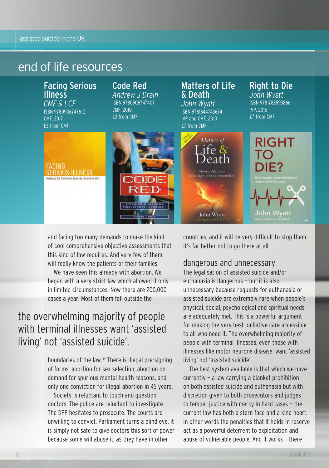# end of life resources

Facing Serious Illness *CMF & LCF* ISBn 9780906747612 cMf, 2017 £3 from cMf

ERIOUS ILLNESS

for Christians Iowards the end of life

# Code Red

*Andrew J Drain* ISBn 9780906747407 cMf, 2010 £3 from cMf

# FACING



# Matters of Life & Death

*John Wyatt* ISBn 9781844743674 IVp and cMf, 2010  $\overline{57}$  from CMF

## Right to Die *John Wyatt*

ISBn 9781783593866 IVp, 2015 £7 from cMf



and facing too many demands to make the kind of cool comprehensive objective assessments that this kind of law requires. And very few of them will really know the patients or their families.

We have seen this already with abortion. We began with a very strict law which allowed it only in limited circumstances. now there are 200,000 cases a year. Most of them fall outside the

# the overwhelming majority of people with terminal illnesses want 'assisted living' not 'assisted suicide'.

boundaries of the law.<sup>19</sup> There is illegal pre-signing of forms, abortion for sex selection, abortion on demand for spurious mental health reasons, and only one conviction for illegal abortion in 45 years.

Society is reluctant to touch and question doctors. the police are reluctant to investigate. The DPP hesitates to prosecute. The courts are unwilling to convict. parliament turns a blind eye. It is simply not safe to give doctors this sort of power because some will abuse it, as they have in other

countries, and it will be very difficult to stop them. It's far better not to go there at all.

# dangerous and unnecessary

the legalisation of assisted suicide and/or euthanasia is dangerous — but it is also unnecessary because requests for euthanasia or assisted suicide are extremely rare when people's physical, social, psychological and spiritual needs are adequately met. This is a powerful argument for making the very best palliative care accessible to all who need it. The overwhelming majority of people with terminal illnesses, even those with illnesses like motor neurone disease, want 'assisted living' not 'assisted suicide'.

The best system available is that which we have currently — a law carrying a blanket prohibition on both assisted suicide and euthanasia but with discretion given to both prosecutors and judges to temper justice with mercy in hard cases — the current law has both a stern face and a kind heart. In other words the penalties that it holds in reserve act as a powerful deterrent to exploitation and abuse of vulnerable people. And it works — there